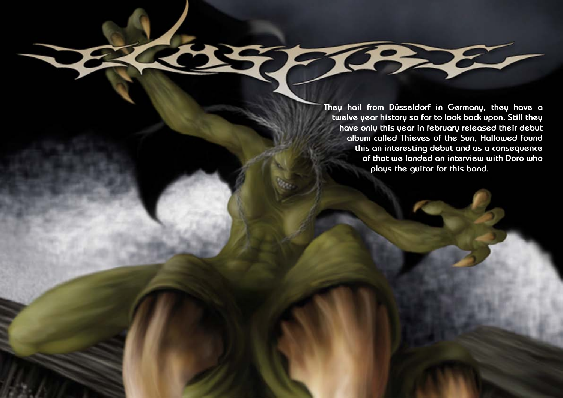**They hail from Düsseldorf in Germany, they have a twelve year history so far to look back upon. Still they have only this year in february released their debut album called Thieves of the Sun, Hallowed found this an interesting debut and as a consequence of that we landed an interview with Doro who plays the guitar for this band.**

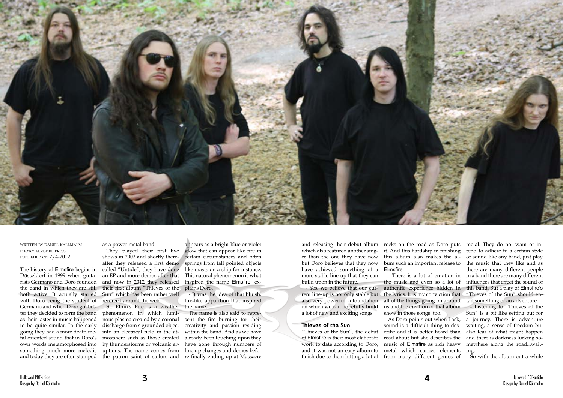

written by daniel källmalm photo: elmsfire press publiehed on 7/4-2012

The history of Elmsfire begins in Düsseldorf in 1999 when guitarists Germano and Doro founded the band in which they are still both active. It actually started with Doro being the student of Germano and when Doro got better they decided to form the band as their tastes in music happened to be quite similar. In the early going they had a more death metal oriented sound that in Doro's own words metamorphosed into something much more melodic

as a power metal band.

They played their first live shows in 2002 and shortly thereafter they released a first demo called "Untide", they have done an EP and more demos after that and now in 2012 they released their first album "Thieves of the Sun" which has been rather well received around the web.

and today they are often stamped the patron saint of sailors and re finally ending up at Massacre St. Elmo's Fire is a weather phenomenon in which luminous plasma created by a coronal discharge from s grounded object into an electrical field in the atmosphere such as those created by thunderstorms or volcanic eruptions. The name comes from line up changes and demos befo-

appears as a bright blue or violet glow that can appear like fire in certain circumstances and often springs from tall pointed objects like masts on a ship for instance. This natural phenomenon is what inspired the name Elmsfire, explains Doro.

- It was the idea of that bluish, fire-like apparition that inspired the name.

The name is also said to represent the fire burning for their creativity and passion residing within the band. And as we have already been touching upon they have gone through numbers of

which also featured another singer than the one they have now but Doro believes that they now have achieved something of a more stable line up that they can build upon in the future.

- Yes, we believe that our current line-up is not only stable but the lyrics. It is my conviction that also very powerful, a foundation on which we can hopefully build a lot of new and exciting songs.

and releasing their debut album rocks on the road as Doro puts it. And this hardship in finishing this album also makes the album such an important release to Elmsfire.

## **Thieves of the Sun**

"Thieves of the Sun", the debut cribe and it is better heard than of Elmsfire is their most elaborate work to date according to Doro, and it was not an easy album to finish due to them hitting a lot of from many different genres of

- There is a lot of emotion in the music and even so a lot of authentic experience hidden in all of the things going on around us and the creation of that album show in those songs, too.

metal. They do not want or intend to adhere to a certain style or sound like any band, just play the music that they like and as there are many different people in a band there are many different influences that effect the sound of this band. But a play of Elmsfire's "Thieves of the Sun" should entail something of an adventure.

As Doro points out when I ask, sound is a difficult thing to desread about but she describes the music of Elmsfire as rich heavy metal which carries elements ing.

- Listening to "Thieves of the Sun" is a bit like setting out for a journey. There is adventure waiting, a sense of freedom but also fear of what might happen and there is darkness lurking somewhere along the road...wait-

So with the album out a while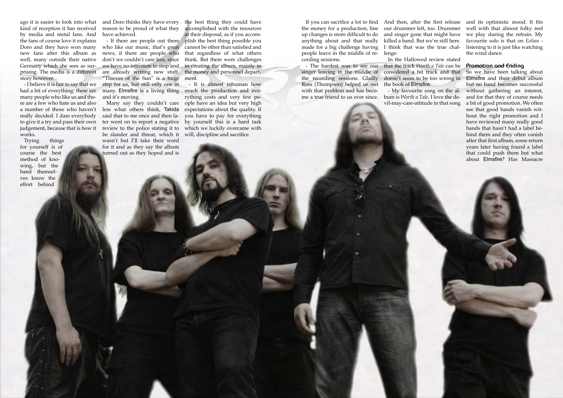Hallowed PDF-article Design by Daniel Källmalm

Hallowed PDF-article Design by Daniel Källmalm

ago it is easier to look into what kind of reception it has received by media and metal fans. And the fans of course love it explains Doro and they have won many new fans after this album as well, many outside their native Germany which she sees as surprising. The media is a different story however.

- I believe it is fair to say that we many people who like us and there are a few who hate us and also a number of those who haven't really decided. I dare everybody to give it a try and pass their own judgement, because that is how it works.

Trying things for yourself is of course the best method of knowing, but the band themselves know the effort behind

had a bit of everything: there are many. Elmsfire is a living thing much the production and evewe have no intention to stop and in creating the album, mainly in are already writing new stuff. the money and personnel departwho like our music, that's great news, if there are people who don't we couldn't care less, since "Thieves of the Sun" is a huge step for us, but still only one in and it's moving.

the best thing they could have accomplished with the resources at their disposal, as if you accom-- If there are people out there plish the best thing possible you cannot be other than satisfied and that regardless of what others think. But there were challenges ment.

> - It is almost inhuman how rything costs and very few people have an idea but very high expectations about the quality. If you have to pay for everything by yourself this is a hard task which we luckily overcame with will, discipline and sacrifice.

If you can sacrifice a lot to find And then, after the first release and its optimistic mood. It fits well with that almost folky reel we play during the refrain. My favourite solo is that on *Eolian* listening to it is just like watching the wind dance.

and Doro thinks they have every reason to be proud of what they have achieved.

Many say they couldn't care less what others think, Takida said that to me once and then later went on to report a negative review to the police stating it to be slander and threat, which it wasn't but I'll take their word for it and as they say the album turned out as they hoped and is

the money for a production, line up changes is more difficult to do anything about and that really made for a big challenge having people leave in the middle of recording sessions.

## **Promotion and Ending**

- The hardest was to see our that the track *Worth a Tale* can be singer leaving in the middle of considered a hit track and that In the Hallowed review stated doesn't seem to be too wrong in the book of Elmsfire.

So we have been talking about Elmsfire and their debut album but no band becomes successful without gathering an interest, and for that they of course needs a bit of good promotion. We often see that good bands vanish without the right promotion and I have reviewed many really good bands that hasn't had a label behind them and they often vanish after that first album, some return years later having found a label that could push them but what about Elmsfire? Has Massacre

the recording sessions. Gladly Ross (Thompson) helped us out with that problem and has become a true friend to us ever since. bum is *Worth a Tale*. I love the de-

our drummer left, too. Drummer and singer gone that might have killed a band. But we're still here. I think that was the true challenge.

- My favourite song on the alvil-may-care-attitude in that song